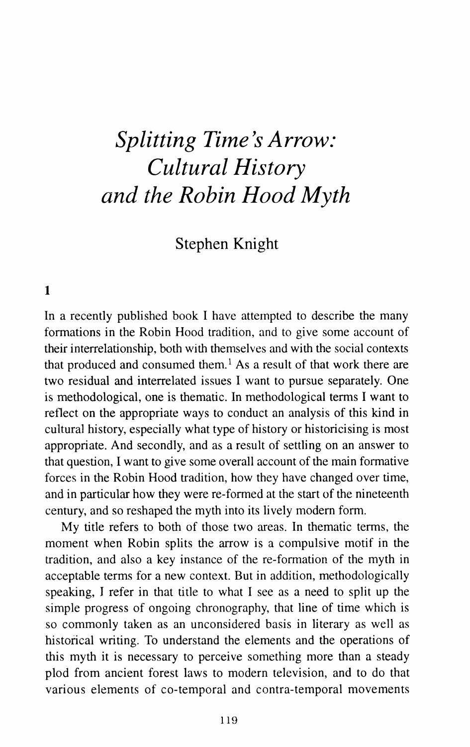# **Splitting Time's Arrow:** *Cultural History and the Robin Hood Myth*

# Stephen Knight

## 1

In a recently published book I have attempted to describe the many formations in the Robin Hood tradition, and to give some account of their interrelationship, both with themselves and with the social contexts that produced and consumed them.<sup>1</sup> As a result of that work there are two residual and interrelated issues I want to pursue separately. One is methodological, one is thematic. In methodological terms I want to reflect on the appropriate ways to conduct an analysis of this kind in cultural history, especially what type of history or historicising is most appropriate. And secondly, and as a result of settling on an answer to that question, I want to give some overall account of the main formative forces in the Robin Hood tradition, how they have changed over time, and in particular how they were re-formed at the start of the nineteenth century, and so reshaped the myth into its lively modem form.

My title refers to both of those two areas. In thematic terms, the moment when Robin splits the arrow is a compulsive motif in the tradition, and also a key instance of the re-formation of the myth in acceptable terms for a new context. But in addition, methodologically speaking, I refer in that title to what I see as a need to split up the simple progress of ongoing chronography, that line of time which is so commonly taken as an unconsidered basis in literary as well as historical writing. To understand the elements and the operations of this myth it is necessary to perceive something more than a steady plod from ancient forest laws to modern television, and to do that various elements of co-temporal and contra-temporal movements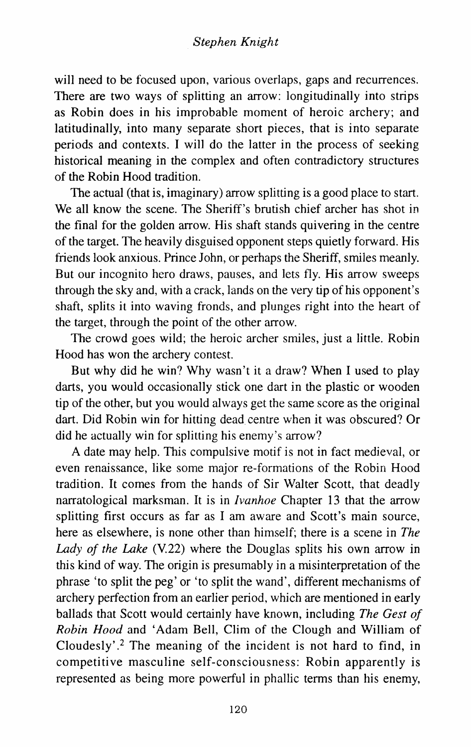will need to be focused upon, various overlaps, gaps and recurrences. There are two ways of splitting an arrow: longitudinally into strips as Robin does in his improbable moment of heroic archery; and latitudinally, into many separate short pieces, that is into separate periods and contexts. I will do the latter in the process of seeking historical meaning in the complex and often contradictory structures of the Robin Hood tradition.

The actual (that is, imaginary) arrow splitting is a good place to start. We all know the scene. The Sheriff's brutish chief archer has shot in the final for the golden arrow. His shaft stands quivering in the centre of the target. The heavily disguised opponent steps quietly forward. His friends look anxious. Prince John, or perhaps the Sheriff, smiles meanly. But our incognito hero draws, pauses, and lets fly. His arrow sweeps through the sky and, with a crack, lands on the very tip of his opponent's shaft, splits it into waving fronds, and plunges right into the heart of the target, through the point of the other arrow.

The crowd goes wild; the heroic archer smiles, just a little. Robin Hood has won the archery contest.

But why did he win? Why wasn't it a draw? When I used to play darts, you would occasionally stick one dart in the plastic or wooden tip of the other, but you would always get the same score as the original dart. Did Robin win for hitting dead centre when it was obscured? Or did he actually win for splitting his enemy's arrow?

A date may help. This compulsive motif is not in fact medieval, or even renaissance, like some major re-formations of the Robin Hood tradition. It comes from the hands of Sir Walter Scott, that deadly narratological marksman. It is in *Ivanhoe* Chapter 13 that the arrow splitting first occurs as far as I am aware and Scott's main source, here as elsewhere, is none other than himself; there is a scene in *The Lady of the Lake* (V.22) where the Douglas splits his own arrow in this kind of way. The origin is presumably in a misinterpretation of the phrase 'to split the peg' or 'to split the wand', different mechanisms of archery perfection from an earlier period, which are mentioned in early ballads that Scott would certainly have known, including *The Gest of Robin Hood* and 'Adam Bell, Clim of the Clough and William of Cloudesly'.<sup>2</sup> The meaning of the incident is not hard to find, in competitive masculine self-consciousness: Robin apparently is represented as being more powerful in phallic terms than his enemy,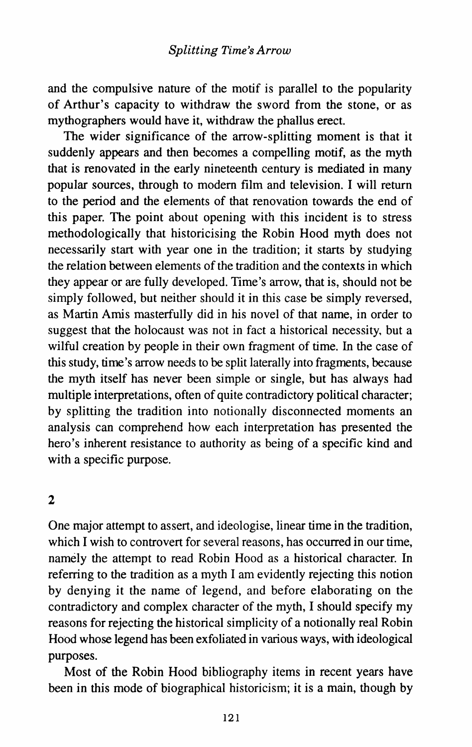and the compulsive nature of the motif is parallel to the popularity of Arthur's capacity to withdraw the sword from the stone, or as mythographers would have it, withdraw the phallus erect.

The wider significance of the arrow-splitting moment is that it suddenly appears and then becomes a compelling motif, as the myth that is renovated in the early nineteenth century is mediated in many popular sources, through to modem film and television. I will return to the period and the elements of that renovation towards the end of this paper. The point about opening with this incident is to stress methodologically that historicising the Robin Hood myth does not necessarily start with year one in the tradition; it starts by studying the relation between elements of the tradition and the contexts in which they appear or are fully developed. Time's arrow, that is, should not be simply followed, but neither should it in this case be simply reversed, as Martin Amis masterfully did in his novel of that name, in order to suggest that the holocaust was not in fact a historical necessity, but a wilful creation by people in their own fragment of time. In the case of this study, time's arrow needs to be split laterally into fragments, because the myth itself has never been simple or single, but has always had multiple interpretations, often of quite contradictory political character; by splitting the tradition into notionally disconnected moments an analysis can comprehend how each interpretation has presented the hero's inherent resistance to authority as being of a specific kind and with a specific purpose.

# 2

One major attempt to assert, and ideologise, linear time in the tradition, which I wish to controvert for several reasons, has occurred in our time, namely the attempt to read Robin Hood as a historical character. In referring to the tradition as a myth I am evidently rejecting this notion by denying it the name of legend, and before elaborating on the contradictory and complex character of the myth, I should specify my reasons for rejecting the historical simplicity of a notionally real Robin Hood whose legend has been exfoliated in various ways, with ideological purposes.

Most of the Robin Hood bibliography items in recent years have been in this mode of biographical historicism; it is a main, though by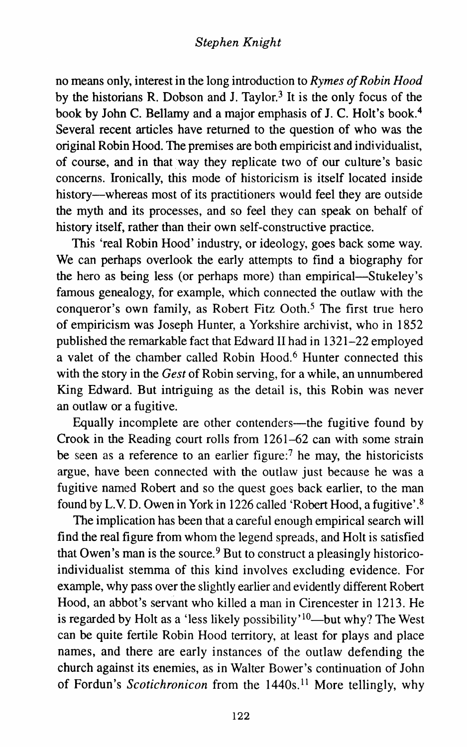no means only, interest in the long introduction to *Rymes of Robin Hood*  by the historians R. Dobson and J. Taylor.<sup>3</sup> It is the only focus of the book by John C. Bellamy and a major emphasis of J. C. Holt's book.4 Several recent articles have returned to the question of who was the original Robin Hood. The premises are both empiricist and individualist, of course, and in that way they replicate two of our culture's basic concerns. Ironically, this mode of historicism is itself located inside history—whereas most of its practitioners would feel they are outside the myth and its processes, and so feel they can speak on behalf of history itself, rather than their own self-constructive practice.

This 'real Robin Hood' industry, or ideology, goes back some way. We can perhaps overlook the early attempts to find a biography for the hero as being less (or perhaps more) than empirical—Stukeley's famous genealogy, for example, which connected the outlaw with the conqueror's own family, as Robert Fitz Ooth.<sup>5</sup> The first true hero of empiricism was Joseph Hunter, a Yorkshire archivist, who in 1852 published the remarkable fact that Edward II had in 1321-22 employed a valet of the chamber called Robin Hood.<sup>6</sup> Hunter connected this with the story in the *Gest* of Robin serving, for a while, an unnumbered King Edward. But intriguing as the detail is, this Robin was never an outlaw or a fugitive.

Equally incomplete are other contenders-the fugitive found by Crook in the Reading court rolls from 1261-62 can with some strain be seen as a reference to an earlier figure:<sup>7</sup> he may, the historicists argue, have been connected with the outlaw just because he was a fugitive named Robert and so the quest goes back earlier, to the man found by L.V. D. Owen in York in 1226 called 'Robert Hood, a fugitive'. 8

The implication has been that a careful enough empirical search will find the real figure from whom the legend spreads, and Holt is satisfied that Owen's man is the source. $9$  But to construct a pleasingly historicoindividualist stemma of this kind involves excluding evidence. For example, why pass over the slightly earlier and evidently different Robert Hood, an abbot's servant who killed a man in Cirencester in 1213. He is regarded by Holt as a 'less likely possibility'<sup>10</sup>-but why? The West can be quite fertile Robin Hood territory, at least for plays and place names, and there are early instances of the outlaw defending the church against its enemies, as in Walter Bower's continuation of John of Fordun's *Scotichronicon* from the 1440s. 11 More tellingly, why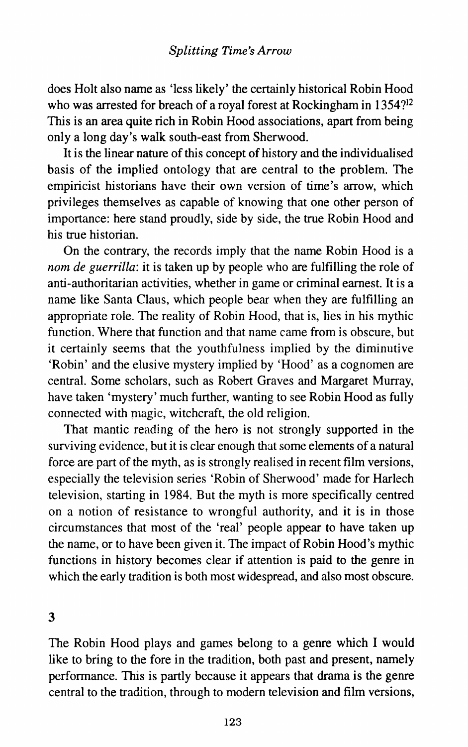does Holt also name as 'less likely' the certainly historical Robin Hood who was arrested for breach of a royal forest at Rockingham in 1354?<sup>12</sup> This is an area quite rich in Robin Hood associations, apart from being only a long day's walk south-east from Sherwood.

It is the linear nature of this concept of history and the individualised basis of the implied ontology that are central to the problem. The empiricist historians have their own version of time's arrow, which privileges themselves as capable of knowing that one other person of importance: here stand proudly, side by side, the true Robin Hood and his true historian.

On the contrary, the records imply that the name Robin Hood is a *nom de guerrilla:* it is taken up by people who are fulfilling the role of anti-authoritarian activities, whether in game or criminal earnest. It is a name like Santa Claus, which people bear when they are fulfilling an appropriate role. The reality of Robin Hood, that is, lies in his mythic function. Where that function and that name came from is obscure, but it certainly seems that the youthfulness implied by the diminutive 'Robin' and the elusive mystery implied by 'Hood' as a cognomen are central. Some scholars, such as Robert Graves and Margaret Murray, have taken 'mystery' much further, wanting to see Robin Hood as fully connected with magic, witchcraft, the old religion.

That mantic reading of the hero is not strongly supported in the surviving evidence, but it is clear enough that some elements of a natural force are part of the myth. as is strongly realised in recent film versions, especially the television series 'Robin of Sherwood' made for Harlech television, starting in 1984. But the myth is more specifically centred on a notion of resistance to wrongful authority, and it is in those circumstances that most of the 'real' people appear to have taken up the name, or to have been given it. The impact of Robin Hood's mythic functions in history becomes clear if attention is paid to the genre in which the early tradition is both most widespread, and also most obscure.

3

The Robin Hood plays and games belong to a genre which I would like to bring to the fore in the tradition, both past and present, namely performance. This is partly because it appears that drama is the genre central to the tradition, through to modern television and film versions,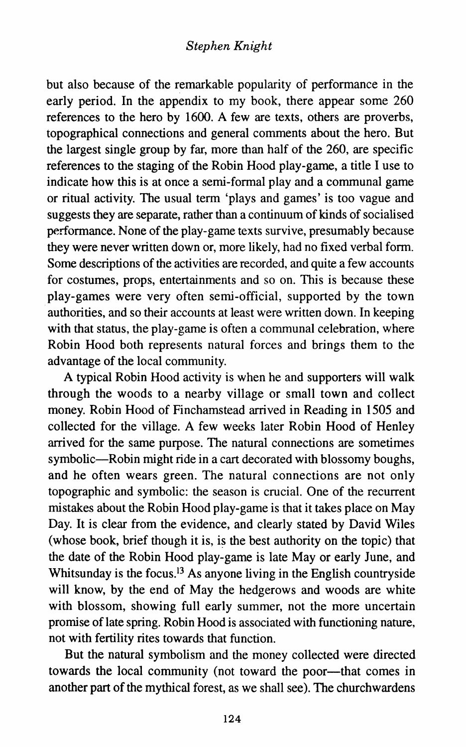but also because of the remarkable popularity of performance in the early period. In the appendix to my book, there appear some 260 references to the hero by 1600. A few are texts, others are proverbs, topographical connections and general comments about the hero. But the largest single group by far, more than half of the 260, are specific references to the staging of the Robin Hood play-game, a title I use to indicate how this is at once a semi-formal play and a communal game or ritual activity. The usual term 'plays and games' is too vague and suggests they are separate, rather than a continuum of kinds of socialised performance. None of the play-game texts survive, presumably because they were never written down or, more likely, had no fixed verbal form. Some descriptions of the activities are recorded, and quite a few accounts for costumes, props, entertainments and so on. This is because these play-games were very often semi-official, supported by the town authorities, and so their accounts at least were written down. In keeping with that status, the play-game is often a communal celebration, where Robin Hood both represents natural forces and brings them to the advantage of the local community.

A typical Robin Hood activity is when he and supporters will walk through the woods to a nearby village or small town and collect money. Robin Hood of Finchamstead arrived in Reading in 1505 and collected for the village. A few weeks later Robin Hood of Henley arrived for the same purpose. The natural connections are sometimes symbolic-Robin might ride in a cart decorated with blossomy boughs, and he often wears green. The natural connections are not only topographic and symbolic: the season is crucial. One of the recurrent mistakes about the Robin Hood play-game is that it takes place on May Day. It is clear from the evidence, and clearly stated by David Wiles (whose book, brief though it is, is the best authority on the topic) that the date of the Robin Hood play-game is late May or early June, and Whitsunday is the focus.<sup>13</sup> As anyone living in the English countryside will know, by the end of May the hedgerows and woods are white with blossom, showing full early summer, not the more uncertain promise of late spring. Robin Hood is associated with functioning nature, not with fertility rites towards that function.

But the natural symbolism and the money collected were directed towards the local community (not toward the poor-that comes in another part of the mythical forest, as we shall see). The churchwardens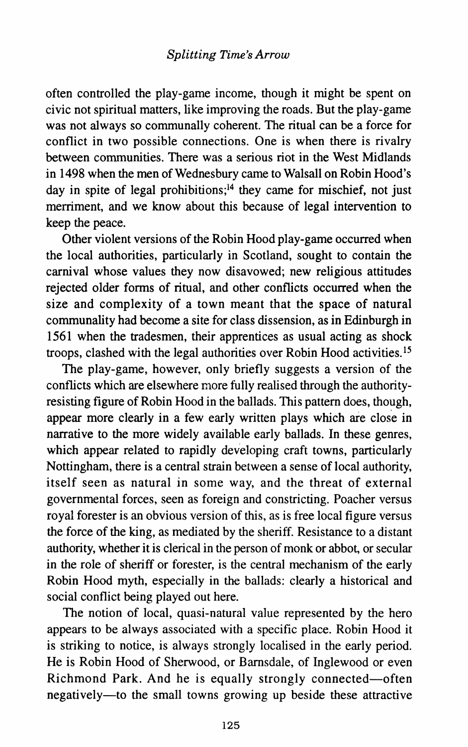often controlled the play-game income, though it might be spent on civic not spiritual matters, like improving the roads. But the play-game was not always so communally coherent. The ritual can be a force for conflict in two possible connections. One is when there is rivalry between communities. There was a serious riot in the West Midlands in 1498 when the men of Wednesbury came to Walsall on Robin Hood's day in spite of legal prohibitions;<sup>14</sup> they came for mischief, not just merriment, and we know about this because of legal intervention to keep the peace.

Other violent versions of the Robin Hood play-game occurred when the local authorities, particularly in Scotland, sought to contain the carnival whose values they now disavowed; new religious attitudes rejected older forms of ritual, and other conflicts occurred when the size and complexity of a town meant that the space of natural communality had become a site for class dissension, as in Edinburgh in 1561 when the tradesmen, their apprentices as usual acting as shock troops, clashed with the legal authorities over Robin Hood activities. <sup>15</sup>

The play-game, however, only briefly suggests a version of the conflicts which are elsewhere more fully realised through the authorityresisting figure of Robin Hood in the ballads. This pattern does, though, appear more clearly in a few early written plays which are close in narrative to the more widely available early ballads. In these genres, which appear related to rapidly developing craft towns, particularly Nottingham, there is a central strain between a sense of local authority, itself seen as natural in some way, and the threat of external governmental forces, seen as foreign and constricting. Poacher versus royal forester is an obvious version of this, as is free local figure versus the force of the king, as mediated by the sheriff. Resistance to a distant authority, whether it is clerical in the person of monk or abbot, or secular in the role of sheriff or forester, is the central mechanism of the early Robin Hood myth, especially in the ballads: clearly a historical and social conflict being played out here.

The notion of local, quasi-natural value represented by the hero appears to be always associated with a specific place. Robin Hood it is striking to notice, is always strongly localised in the early period. He is Robin Hood of Sherwood, or Barnsdale, of Inglewood or even Richmond Park. And he is equally strongly connected-often negatively-to the small towns growing up beside these attractive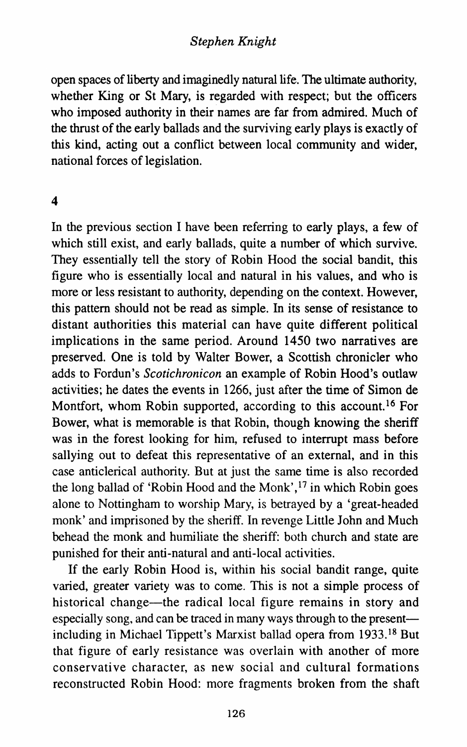open spaces of liberty and imaginedly natural life. The ultimate authority, whether King or St Mary, is regarded with respect; but the officers who imposed authority in their names are far from admired. Much of the thrust of the early ballads and the surviving early plays is exactly of this kind, acting out a conflict between local community and wider, national forces of legislation.

#### 4

In the previous section I have been referring to early plays, a few of which still exist, and early ballads, quite a number of which survive. They essentially tell the story of Robin Hood the social bandit, this figure who is essentially local and natural in his values, and who is more or less resistant to authority, depending on the context. However, this pattern should not be read as simple. In its sense of resistance to distant authorities this material can have quite different political implications in the same period. Around 1450 two narratives are preserved. One is told by Walter Bower, a Scottish chronicler who adds to Fordun's *Scotichronicon* an example of Robin Hood's outlaw activities; he dates the events in 1266, just after the time of Simon de Montfort, whom Robin supported, according to this account.<sup>16</sup> For Bower, what is memorable is that Robin, though knowing the sheriff was in the forest looking for him, refused to interrupt mass before sallying out to defeat this representative of an external, and in this case anticlerical authority. But at just the same time is also recorded the long ballad of 'Robin Hood and the Monk',  $^{17}$  in which Robin goes alone to Nottingham to worship Mary, is betrayed by a 'great-headed monk' and imprisoned by the sheriff. In revenge Little John and Much behead the monk and humiliate the sheriff: both church and state are punished for their anti-natural and anti-local activities.

If the early Robin Hood is, within his social bandit range, quite varied, greater variety was to come. This is not a simple process of historical change—the radical local figure remains in story and especially song, and can be traced in many ways through to the presentincluding in Michael Tippett's Marxist ballad opera from 1933. 18 But that figure of early resistance was overlain with another of more conservative character, as new social and cultural formations reconstructed Robin Hood: more fragments broken from the shaft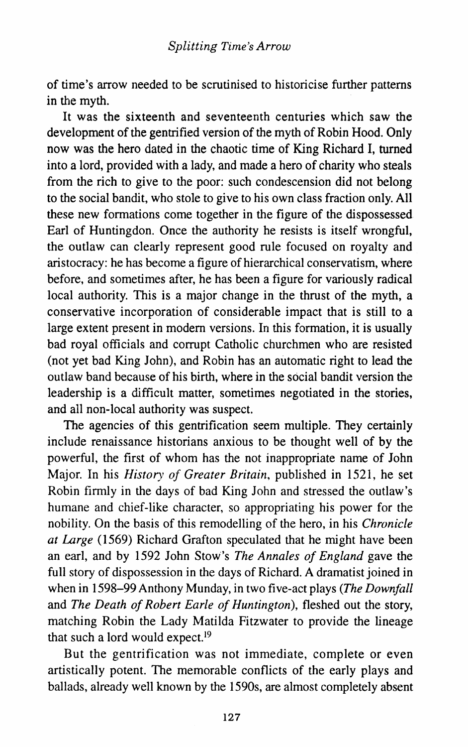of time's arrow needed to be scrutinised to historicise further patterns in the myth.

It was the sixteenth and seventeenth centuries which saw the development of the gentrified version of the myth of Robin Hood. Only now was the hero dated in the chaotic time of King Richard I, turned into a lord, provided with a lady, and made a hero of charity who steals from the rich to give to the poor: such condescension did not belong to the social bandit, who stole to give to his own class fraction only. All these new formations come together in the figure of the dispossessed Earl of Huntingdon. Once the authority he resists is itself wrongful, the outlaw can clearly represent good rule focused on royalty and aristocracy: he has become a figure of hierarchical conservatism, where before, and sometimes after, he has been a figure for variously radical local authority. This is a major change in the thrust of the myth, a conservative incorporation of considerable impact that is still to a large extent present in modem versions. In this formation, it is usually bad royal officials and corrupt Catholic churchmen who are resisted (not yet bad King John), and Robin has an automatic right to lead the outlaw band because of his birth, where in the social bandit version the leadership is a difficult matter, sometimes negotiated in the stories, and all non-local authority was suspect.

The agencies of this gentrification seem multiple. They certainly include renaissance historians anxious to be thought well of by the powerful, the first of whom has the not inappropriate name of John Major. In his *History of Greater Britain,* published in 1521, he set Robin firmly in the days of bad King John and stressed the outlaw's humane and chief-like character, so appropriating his power for the nobility. On the basis of this remodelling of the hero, in his *Chronicle at Large* (1569) Richard Grafton speculated that he might have been an earl, and by 1592 John Stow's *The Annales of England* gave the full story of dispossession in the days of Richard. A dramatist joined in when in 1598-99 Anthony Munday, in two five-act plays *(The Downfall*  and *The Death of Robert Earle of Huntington),* fleshed out the story, matching Robin the Lady Matilda Fitzwater to provide the lineage that such a lord would expect.<sup>19</sup>

But the gentrification was not immediate, complete or even artistically potent. The memorable conflicts of the early plays and ballads, already well known by the 1590s, are almost completely absent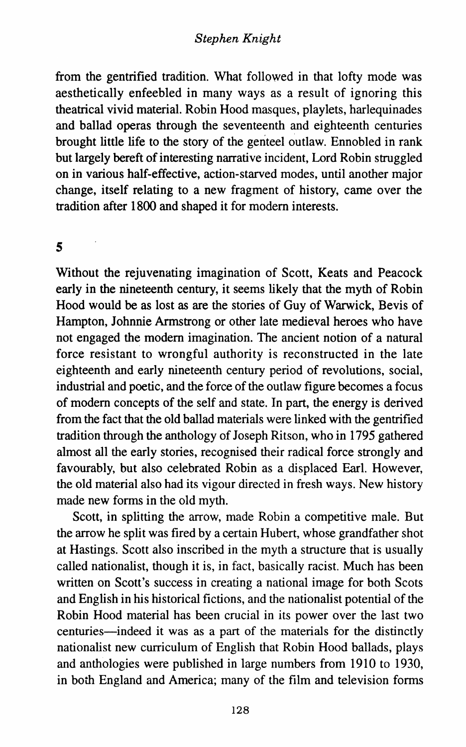from the gentrified tradition. What followed in that lofty mode was aesthetically enfeebled in many ways as a result of ignoring this theatrical vivid material. Robin Hood masques, playlets, harlequinades and ballad operas through the seventeenth and eighteenth centuries brought little life to the story of the genteel outlaw. Ennobled in rank but largely bereft of interesting narrative incident, Lord Robin struggled on in various half-effective, action-starved modes, until another major change, itself relating to a new fragment of history, came over the tradition after 1800 and shaped it for modem interests.

#### s

Without the rejuvenating imagination of Scott, Keats and Peacock early in the nineteenth century, it seems likely that the myth of Robin Hood would be as lost as are the stories of Guy of Warwick, Bevis of Hampton, Johnnie Armstrong or other late medieval heroes who have not engaged the modem imagination. The ancient notion of a natural force resistant to wrongful authority is reconstructed in the late eighteenth and early nineteenth century period of revolutions, social, industrial and poetic, and the force of the outlaw figure becomes a focus of modem concepts of the self and state. In part, the energy is derived from the fact that the old ballad materials were linked with the gentrified tradition through the anthology of Joseph Ritson, who in 1795 gathered almost all the early stories, recognised their radical force strongly and favourably, but also celebrated Robin as a displaced Earl. However, the old material also had its vigour directed in fresh ways. New history made new forms in the old myth.

Scott, in splitting the arrow, made Robin a competitive male. But the arrow he split was fired by a certain Hubert, whose grandfather shot at Hastings. Scott also inscribed in the myth a structure that is usually called nationalist, though it is, in fact, basically racist. Much has been written on Scott's success in creating a national image for both Scots and English in his historical fictions, and the nationalist potential of the Robin Hood material has been crucial in its power over the last two centuries-indeed it was as a part of the materials for the distinctly nationalist new curriculum of English that Robin Hood ballads, plays and anthologies were published in large numbers from 1910 to 1930, in both England and America; many of the film and television forms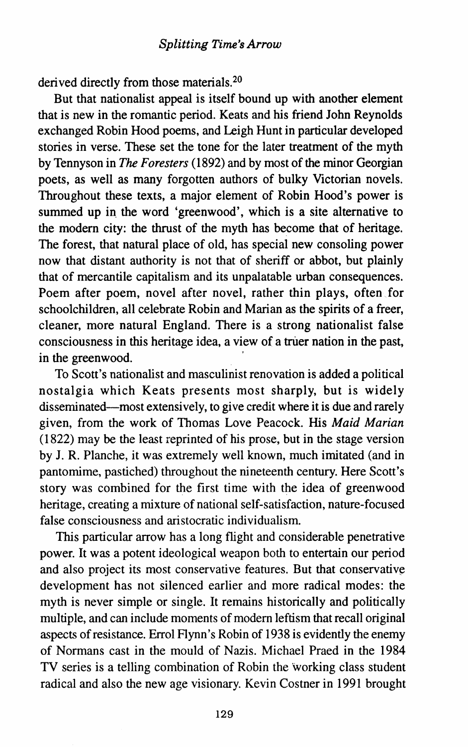derived directly from those materials.2o

But that nationalist appeal is itself bound up with another element that is new in the romantic period. Keats and his friend John Reynolds exchanged Robin Hood poems, and Leigh Hunt in particular developed stories in verse. These set the tone for the later treatment of the myth by Tennyson in *The Foresters* (1892) and by most of the minor Georgian poets, as well as many forgotten authors of bulky Victorian novels. Throughout these texts, a major element of Robin Hood's power is summed up in the word 'greenwood', which is a site alternative to the modem city: the thrust of the myth has become that of heritage. The forest, that natural place of old, has special new consoling power now that distant authority is not that of sheriff or abbot, but plainly that of mercantile capitalism and its unpalatable urban consequences. Poem after poem, novel after novel, rather thin plays, often for schoolchildren, all celebrate Robin and Marian as the spirits of a freer, cleaner, more natural England. There is a strong nationalist false consciousness in this heritage idea, a view of a truer nation in the past, in the greenwood.

To Scott's nationalist and masculinist renovation is added a political nostalgia which Keats presents most sharply, but is widely disseminated-most extensively, to give credit where it is due and rarely given, from the work of Thomas Love Peacock. His *Maid Marian*  (1822) may be the least reprinted of his prose, but in the stage version by J. R. Planche, it was extremely well known, much imitated (and in pantomime, pastiched) throughout the nineteenth century. Here Scott's story was combined for the first time with the idea of greenwood heritage, creating a mixture of national self-satisfaction, nature-focused false consciousness and aristocratic individualism.

This particular arrow has a long flight and considerable penetrative power. It was a potent ideological weapon both to entertain our period and also project its most conservative features. But that conservative development has not silenced earlier and more radical modes: the myth is never simple or single. It remains historically and politically multiple, and can include moments of modem leftism that recall original aspects of resistance. Errol Flynn's Robin of 1938 is evidently the enemy of Normans cast in the mould of Nazis. Michael Praed in the 1984 TV series is a telling combination of Robin the working class student radical and also the new age visionary. Kevin Costner in 1991 brought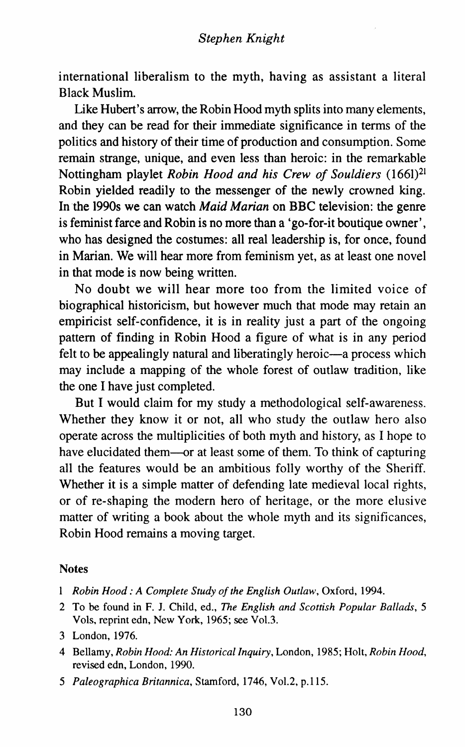international liberalism to the myth, having as assistant a literal Black Muslim.

Like Hubert's arrow, the Robin Hood myth splits into many elements, and they can be read for their immediate significance in terms of the politics and history of their time of production and consumption. Some remain strange, unique, and even less than heroic: in the remarkable Nottingham playlet *Robin Hood and his Crew of Souldiers* (1661)21 Robin yielded readily to the messenger of the newly crowned king. In the 1990s we can watch *Maid Marian* on BBC television: the genre is feminist farce and Robin is no more than a 'go-for-it boutique owner', who has designed the costumes: all real leadership is, for once, found in Marian. We will hear more from feminism yet, as at least one novel in that mode is now being written.

No doubt we will hear more too from the limited voice of biographical historicism, but however much that mode may retain an empiricist self-confidence, it is in reality just a part of the ongoing pattern of finding in Robin Hood a figure of what is in any period felt to be appealingly natural and liberatingly heroic—a process which may include a mapping of the whole forest of outlaw tradition, like the one I have just completed.

But I would claim for my study a methodological self-awareness. Whether they know it or not, all who study the outlaw hero also operate across the multiplicities of both myth and history, as I hope to have elucidated them—or at least some of them. To think of capturing all the features would be an ambitious folly worthy of the Sheriff. Whether it is a simple matter of defending late medieval local rights, or of re-shaping the modern hero of heritage, or the more elusive matter of writing a book about the whole myth and its significances, Robin Hood remains a moving target.

#### **Notes**

- *Robin Hood: A Complete Study of the English Outlaw,* Oxford, 1994.
- 2 To be found in F. J. Child, ed., *The English and Scottish Popular Ballads, 5*  Vo1s, reprint edn, New York, 1965; see Vol.3.
- 3 London, 1976.
- 4 Bellamy, *Robin Hood: An Historical Inquiry,* London, 1985; Holt, *Robin Hood,*  revised edn, London, 1990.
- *5 Paleographica Britannica,* Stamford, 1746, Vol.2, p.115.